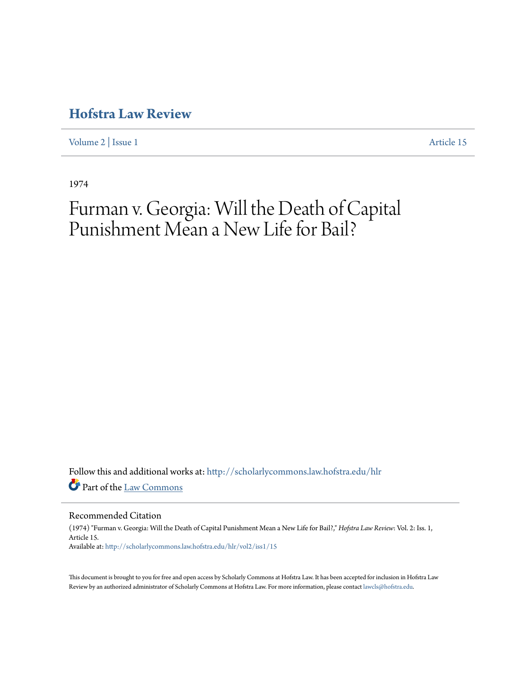[Volume 2](http://scholarlycommons.law.hofstra.edu/hlr/vol2?utm_source=scholarlycommons.law.hofstra.edu%2Fhlr%2Fvol2%2Fiss1%2F15&utm_medium=PDF&utm_campaign=PDFCoverPages) | [Issue 1](http://scholarlycommons.law.hofstra.edu/hlr/vol2/iss1?utm_source=scholarlycommons.law.hofstra.edu%2Fhlr%2Fvol2%2Fiss1%2F15&utm_medium=PDF&utm_campaign=PDFCoverPages) [Article 15](http://scholarlycommons.law.hofstra.edu/hlr/vol2/iss1/15?utm_source=scholarlycommons.law.hofstra.edu%2Fhlr%2Fvol2%2Fiss1%2F15&utm_medium=PDF&utm_campaign=PDFCoverPages)

1974

# Furman v. Georgia: Will the Death of Capital Punishment Mean a New Life for Bail?

Follow this and additional works at: [http://scholarlycommons.law.hofstra.edu/hlr](http://scholarlycommons.law.hofstra.edu/hlr?utm_source=scholarlycommons.law.hofstra.edu%2Fhlr%2Fvol2%2Fiss1%2F15&utm_medium=PDF&utm_campaign=PDFCoverPages) Part of the [Law Commons](http://network.bepress.com/hgg/discipline/578?utm_source=scholarlycommons.law.hofstra.edu%2Fhlr%2Fvol2%2Fiss1%2F15&utm_medium=PDF&utm_campaign=PDFCoverPages)

#### Recommended Citation

(1974) "Furman v. Georgia: Will the Death of Capital Punishment Mean a New Life for Bail?," *Hofstra Law Review*: Vol. 2: Iss. 1, Article 15. Available at: [http://scholarlycommons.law.hofstra.edu/hlr/vol2/iss1/15](http://scholarlycommons.law.hofstra.edu/hlr/vol2/iss1/15?utm_source=scholarlycommons.law.hofstra.edu%2Fhlr%2Fvol2%2Fiss1%2F15&utm_medium=PDF&utm_campaign=PDFCoverPages)

This document is brought to you for free and open access by Scholarly Commons at Hofstra Law. It has been accepted for inclusion in Hofstra Law Review by an authorized administrator of Scholarly Commons at Hofstra Law. For more information, please contact [lawcls@hofstra.edu](mailto:lawcls@hofstra.edu).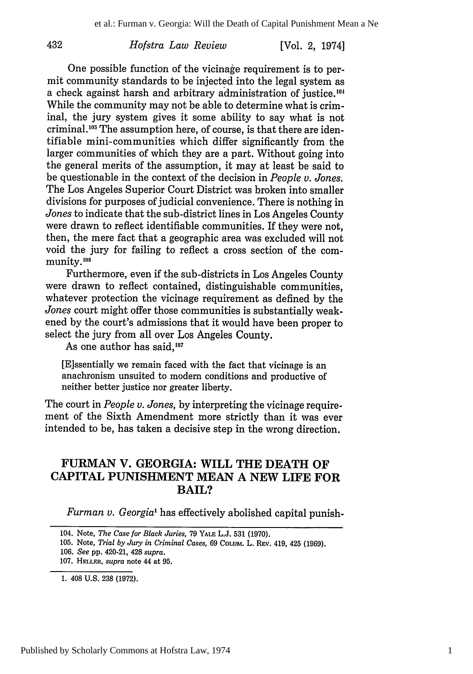432

[Vol. 2, 1974]

One possible function of the vicinage requirement is to permit community standards to be injected into the legal system as a check against harsh and arbitrary administration of justice.<sup>104</sup> While the community may not be able to determine what is criminal, the jury system gives it some ability to say what is not criminal.<sup>105</sup> The assumption here, of course, is that there are identifiable mini-communities which differ significantly from the larger communities of which they are a part. Without going into the general merits of the assumption, it may at least be said to be questionable in the context of the decision in *People v. Jones.* The Los Angeles Superior Court District was broken into smaller divisions for purposes of judicial convenience. There is nothing in *Jones* to indicate that the sub-district lines in Los Angeles County were drawn to reflect identifiable communities. If they were not, then, the mere fact that a geographic area was excluded will not void the jury for failing to reflect a cross section of the community.<sup>106</sup>

Furthermore, even if the sub-districts in Los Angeles County were drawn to reflect contained, distinguishable communities, whatever protection the vicinage requirement as defined by the *Jones* court might offer those communities is substantially weakened by the court's admissions that it would have been proper to select the jury from all over Los Angeles County.

As one author has said.<sup>107</sup>

[E]ssentially we remain faced with the fact that vicinage is an anachronism unsuited to modem conditions and productive of neither better justice nor greater liberty.

The court in *People v. Jones,* by interpreting the vicinage requirement of the Sixth Amendment more strictly than it was ever intended to be, has taken a decisive step in the wrong direction.

### **FURMAN** V. **GEORGIA:** WILL THE **DEATH OF** CAPITAL **PUNISHMENT MEAN A NEW** LIFE **FOR** BAIL?

*Furman v. Georgia'* has effectively abolished capital punish-

105. Note, *Trial by Jury in Criminal Cases,* 69 COLUM. L. **REV.** 419, 425 (1969).

<sup>104.</sup> Note, *The Case for Black Juries,* 79 YALE L.J. 531 (1970).

<sup>106.</sup> *See* **pp.** 420-21, 428 *supra.*

**<sup>107.</sup> HEI.L.R,** *supra* note 44 at 95.

<sup>1. 408</sup> U.S. 238 (1972).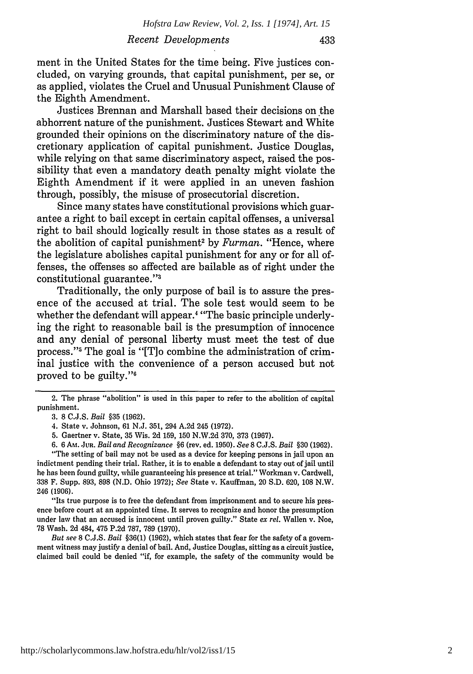ment in the United States for the time being. Five justices concluded, on varying grounds, that capital punishment, per se, or as applied, violates the Cruel and Unusual Punishment Clause of the Eighth Amendment.

Justices Brennan and Marshall based their decisions on the abhorrent nature of the punishment. Justices Stewart and White grounded their opinions on the discriminatory nature of the discretionary application of capital punishment. Justice Douglas, while relying on that same discriminatory aspect, raised the possibility that even a mandatory death penalty might violate the Eighth Amendment if it were applied in an uneven fashion through, possibly, the misuse of prosecutorial discretion.

Since many states have constitutional provisions which guarantee a right to bail except in certain capital offenses, a universal right to bail should logically result in those states as a result of the abolition of capital punishment<sup>2</sup> by *Furman*. "Hence, where the legislature abolishes capital punishment for any or for all offenses, the offenses so affected are bailable as of right under the constitutional guarantee."<sup>3</sup>

Traditionally, the only purpose of bail is to assure the presence of the accused at trial. The sole test would seem to be whether the defendant will appear.<sup>4</sup> "The basic principle underlying the right to reasonable bail is the presumption of innocence and any denial of personal liberty must meet the test of due process."<sup>5</sup> The goal is "[T]o combine the administration of criminal justice with the convenience of a person accused but not proved to be guilty."6

- 5. Gaertner v. State, 35 Wis. 2d 159, 150 N.W.2d 370, 373 (1967).
- 6. 6 Au. **JUR.** *Bail and Recognizance* §6 (rev. ed. 1950). *See* **8** C.J.S. *Bail* §30 (1962).

"The setting of bail may not be used as a device for keeping persons in jail upon an indictment pending their trial. Rather, it is to enable a defendant to stay out of jail until he has been found guilty, while guaranteeing his presence at trial." Workman v. Cardwell, 338 F. Supp. 893, 898 (N.D. Ohio 1972); *See* State v. Kauffman, 20 S.D. 620, 108 N.W. 246 (1906).

"Its true purpose is to free the defendant from imprisonment and to secure his presence before court at an appointed time. It serves to recognize and honor the presumption under law that an accused is innocent until proven guilty." State *ex rel.* Wallen v. Noe, 78 Wash. 2d 484, 475 P.2d 787, 789 (1970).

*But see* 8 C.J.S. *Bail* §36(1) (1962), which states that fear for the safety of a government witness may justify a denial of bail. And, Justice Douglas, sitting as a circuit justice, claimed bail could be denied "if, for example, the safety of the community would be

<sup>2.</sup> The phrase "abolition" is used in this paper to refer to the abolition of capital punishment.

<sup>3.</sup> **8** C.J.S. *Bail* §35 (1962).

<sup>4.</sup> State v. Johnson, 61 N.J. 351, 294 A.2d 245 (1972).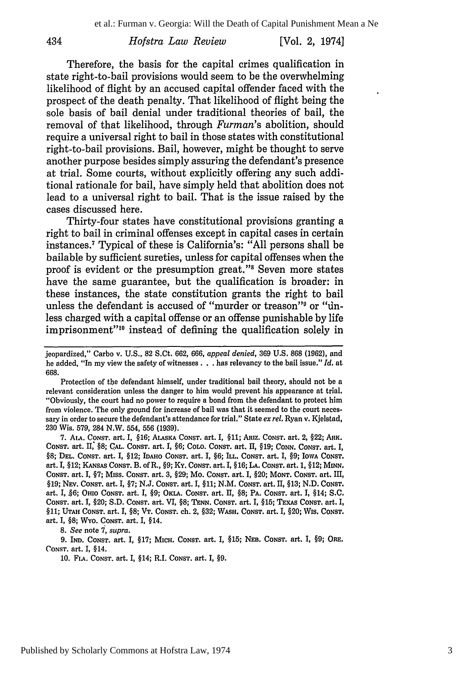#### **[Vol. 2, 1974]**

Therefore, the basis for the capital crimes qualification in state right-to-bail provisions would seem to be the overwhelming likelihood of flight **by** an accused capital offender faced with the prospect of the death penalty. That likelihood of flight being the sole basis of bail denial under traditional theories of bail, the removal of that likelihood, through *Furman's* abolition, should require a universal right to bail in those states with constitutional right-to-bail provisions. Bail, however, might be thought to serve another purpose besides simply assuring the defendant's presence at trial. Some courts, without explicitly offering any such additional rationale for bail, have simply held that abolition does not lead to a universal right to bail. That is the issue raised **by** the cases discussed here.

Thirty-four states have constitutional provisions granting a right to bail in criminal offenses except in capital cases in certain instances. 7 Typical of these is California's: **"All** persons shall be bailable **by** sufficient sureties, unless for capital offenses when the proof is evident or the presumption great."" Seven more states have the same guarantee, but the qualification is broader: in these instances, the state constitution grants the right to bail unless the defendant is accused of "murder or treason"<sup>9</sup> or "unless charged with a capital offense or an offense punishable **by** life imprisonment"<sup>10</sup> instead of defining the qualification solely in

Protection of **the** defendant himself, under traditional bail theory, should not be a relevant consideration unless the danger to him would prevent his appearance at trial. "Obviously, the court had no power to require a bond from the defendant to protect him from violence. The only ground for increase of bail was that it seemed to the court necessary in order to secure the defendant's attendance for trial." State *ex rel.* Ryan v. Kjelstad, **230** Wis. **579,** 284 N.W. 554, **556 (1939).**

**7. ALA. CONST. art. I, §16; ALASKA** CONsT. **art. I, §11;** Amz. **CONST.** art. 2, §22; **AnK. CONsT. art. II §8; CAL. CONST. art. I, §6; COLO. CONST. art. II, §19; CONN. CONST. art. I, §8; DEL. CONST. art. I, §12; IDAHO CONsT. art. I, §6; ILL. CONST. art. I, §9; IOWA CONST. art. I, §12; KANSAS CONST. B. of R., §9; KY. CONsT. art. I, §16; LA. CONST. art. 1, §12; MINN. CONST. art. I, §7; Miss. CONsT. art. 3, §29; Mo. CONsT. art. 1, §20; MONT. CONST. art. I,** §19; Nev. Const. art. I, §7; N.J. Const. art. I, §11; N.M. Const. art. II, §13; N.D. Const. **art. I, §6; OHIO CONST. art. I, §9; OKLA. CoNST. art. II, §8; PA. CONST. art. 1, §14; S.C. CONST. art.** *I,* **§20; S.D. CONST. art. VI, §8; TENN.** *CONST.* **art. I, §15; TExAs CONST. art. I, §11; UTAH CONST. art. I, §8; VT. CONST. ch. 2, §32; WASH. CoNST. art. 1, §20; Wis. CONST. art. 1, §8; WYo. CONST. art. I,** §14.

*8. See* **note 7,** *supra.*

**9. IND. CONST. art. I, §17; MICH. CONsT. art. 1, §15; NEB. CONST. art. 1, §9; ORE. CONST. art. I, §14.**

**10. FIA. CONST. art. I, §14; R.I. CONST. art. 1, §9.**

434

jeopardized," Carbo v. **U.S., 82** S.Ct. **662, 666,** *appeal denied,* **369 U.S. 868 (1962), and** he added, "In my view the safety of witnesses. **. .** has relevancy to the bail issue." *Id.* at **668.**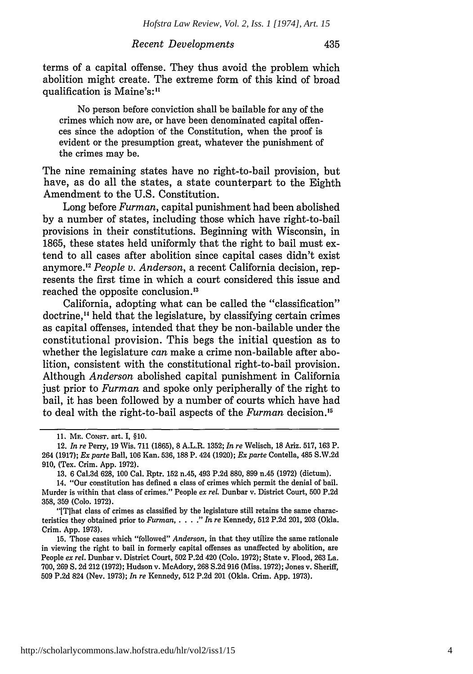#### *Recent Developments*

terms of a capital offense. They thus avoid the problem which abolition might create. The extreme form of this kind of broad qualification is Maine's:"

No person before conviction shall be bailable for any of the crimes which now are, or have been denominated capital offences since the adoption of the Constitution, when the proof is evident or the presumption great, whatever the punishment of the crimes may be.

The nine remaining states have no right-to-bail provision, but have, as do all the states, a state counterpart to the Eighth Amendment to the U.S. Constitution.

Long before *Furman,* capital punishment had been abolished by a number of states, including those which have right-to-bail provisions in their constitutions. Beginning with Wisconsin, in 1865, these states held uniformly that the right to bail must extend to all cases after abolition since capital cases didn't exist anymore.<sup>12</sup> People v. Anderson, a recent California decision, represents the first time in which a court considered this issue and reached the opposite conclusion.<sup>13</sup>

California, adopting what can be called the "classification" doctrine," held that the legislature, by classifying certain crimes as capital offenses, intended that they be non-bailable under the constitutional provision. This begs the initial question as to whether the legislature *can* make a crime non-bailable after abolition, consistent with the constitutional right-to-bail provision. Although *Anderson* abolished capital punishment in California just prior to *Furman* and spoke only peripherally of the right to bail, it has been followed by a number of courts which have had to deal with the right-to-bail aspects of the *Furman* decision.<sup>15</sup>

<sup>11.</sup> ME. CONST. art. I, §10.

<sup>12.</sup> *In re* Perry, 19 Wis. 711 (1865), 8 A.L.R. 1352; *In re* Welisch, 18 Ariz. 517, 163 P. 264 (1917); *Ex parte* Ball, 106 Kan. 536, 188 P. 424 (1920); *Ex parte* Contella, 485 S.W.2d 910, (Tex. Crim. App. 1972).

<sup>13. 6</sup> Cal.3d 628, 100 Cal. Rptr. 152 n.45, 493 P.2d 880, 899 n.45 (1972) (dictum).

<sup>14. &</sup>quot;Our constitution has defined a class of crimes which permit the denial of bail. Murder is within that class of crimes." People *ex rel.* Dunbar v. District Court, 500 P.2d 358, 359 (Colo. 1972).

<sup>&</sup>quot;[Tihat class of crimes as classified by the legislature still retains the same characteristics they obtained prior to *Furman, . . . . " In re Kennedy, 512 P.2d 201, 203 (Okla.* Crim. App. 1973).

<sup>15.</sup> Those cases which "followed" *Anderson,* in that they utilize the same rationale in viewing the right to bail in formerly capital offenses as unaffected by abolition, are People *ex rel.* Dunbar v. District Court, 502 P.2d 420 (Colo. 1972); State v. Flood, 263 La. 700, 269 S. 2d 212 (1972); Hudson v. McAdory, 268 S.2d 916 (Miss. 1972); Jones v. Sheriff, 509 P.2d 824 (Nev. 1973); *In re* Kennedy, 512 P.2d 201 (Okla. Crim. App. 1973).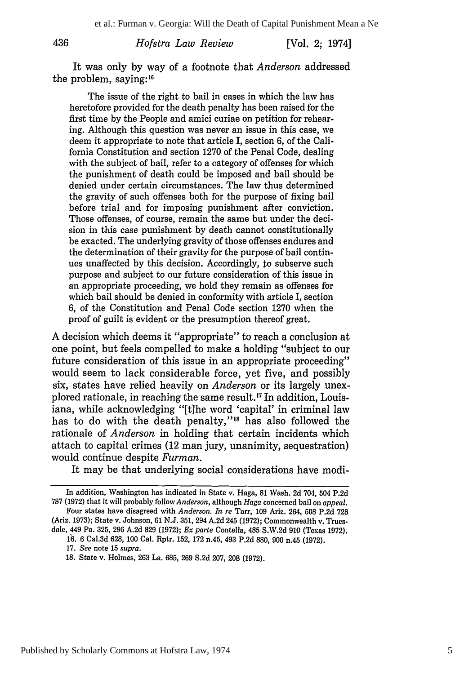[Vol. 2; 1974]

It was only by way of a footnote that *Anderson* addressed the problem, saying: <sup>16</sup>

The issue of the right to bail in cases in which the law has heretofore provided for the death penalty has been raised for the first time by the People and amici curiae on petition for rehearing. Although this question was never an issue in this case, we deem it appropriate to note that article I, section 6, of the California Constitution and section 1270 of the Penal Code, dealing with the subject of bail, refer to a category of offenses for which the punishment of death could be imposed and bail should be denied under certain circumstances. The law thus determined the gravity of such offenses both for the purpose of fixing bail before trial and for imposing punishment after conviction. Those offenses, of course, remain the same but under the decision in this case punishment by death cannot constitutionally be exacted. The underlying gravity of those offenses endures and the determination of their gravity for the purpose of bail continues unaffected by this decision. Accordingly, to subserve such purpose and subject to our future consideration of this issue in an appropriate proceeding, we hold they remain as offenses for which bail should be denied in conformity with article I, section 6, of the Constitution and Penal Code section 1270 when the proof of guilt is evident or the presumption thereof great.

A decision which deems it "appropriate" to reach a conclusion at one point, but feels compelled to make a holding "subject to our future consideration of this issue in an appropriate proceeding" would seem to lack considerable force, yet five, and possibly six, states have relied heavily on *Anderson* or its largely unexplored rationale, in reaching the same result.<sup>17</sup> In addition, Louisiana, while acknowledging "[t]he word 'capital' in criminal law has to do with the death penalty,"<sup>18</sup> has also followed the rationale of *Anderson* in holding that certain incidents which attach to capital crimes (12 man jury, unanimity, sequestration) would continue despite *Furman.*

It may be that underlying social considerations have modi-

dale, 449 Pa. **325, 296 A.2d 829 (1972);** *Ex parte* Contella, 485 **S.W.2d 910** (Texas **1972). f6. 6** Cal.3d **628, 100** Cal. Rptr. **152, 172** n.45, 493 **P.2d 880, 900** n.45 **(1972).**

436

In addition, Washington has indicated in State v. Haga, 81 Wash. **2d** 704, **504 P.2d 787 (1972)** that it will probably *follow Anderson,* although **Haga** concerned bail on *appeal.* Four states have disagreed with *Anderson. In re* Tarr, **109** Ariz. 264, **508 P.2d 728** (Ariz. **1973);** State v. Johnson, **61 N.J. 351,** 294 **A.2d** 245 **(1972);** Commonwealth v. Trues.

**<sup>17.</sup>** *See* note **15** *supra.*

**<sup>18.</sup>** State v. Holmes, **263** La. **685, 269 S.2d 207, 208 (1972).**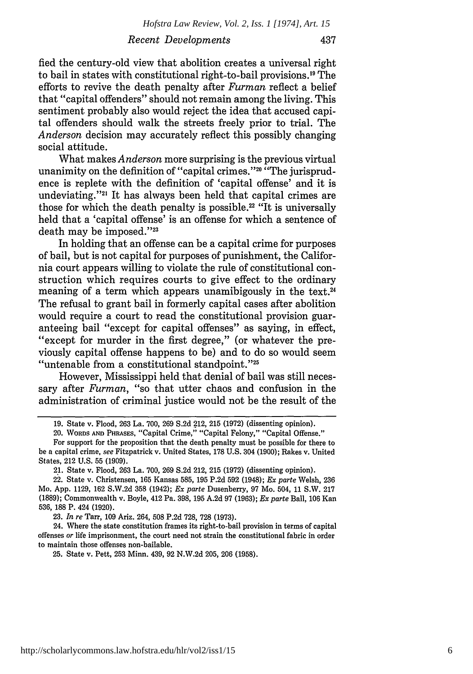fied the century-old view that abolition creates a universal right to bail in states with constitutional right-to-bail provisions.<sup>19</sup> The efforts to revive the death penalty after *Furman* reflect a belief that "capital offenders" should not remain among the living. This sentiment probably also would reject the idea that accused capital offenders should walk the streets freely prior to trial. The *Anderson* decision may accurately reflect this possibly changing social attitude.

What makes *Anderson* more surprising is the previous virtual unanimity on the definition of "capital crimes."<sup>20</sup> "The jurisprudence is replete with the definition of 'capital offense' and it is undeviating."<sup>21</sup> It has always been held that capital crimes are those for which the death penalty is possible.22 "It is universally held that a 'capital offense' is an offense for which a sentence of death may be imposed."<sup>23</sup>

In holding that an offense can be a capital crime for purposes of bail, but is not capital for purposes of punishment, the California court appears willing to violate the rule of constitutional construction which requires courts to give effect to the ordinary meaning of a term which appears unamibigously in the text.<sup>24</sup> The refusal to grant bail in formerly capital cases after abolition would require a court to read the constitutional provision guaranteeing bail "except for capital offenses" as saying, in effect, "except for murder in the first degree," (or whatever the previously capital offense happens to be) and to do so would seem "untenable from a constitutional standpoint."<sup>25</sup>

However, Mississippi held that denial of bail was still necessary after *Furman,* "so that utter chaos and confusion in the administration of criminal justice would not be the result of the

**23.** *In re* Tarr, **109** Ariz. 264, **508** P.2d 728, **728** (1973).

24. Where the state constitution frames its right-to-bail provision in terms of capital offenses or life imprisonment, the court need not strain the constitutional fabric in order to maintain those offenses non-bailable.

**25.** State v. Pett, **253** Minn. 439, **92** N.W.2d **205, 206** (1958).

<sup>19.</sup> State v. Flood, **263** La. 700, **269 S.2d** 212, **215** (1972) (dissenting opinion).

<sup>20.</sup> WORDS **AND** PHRASES, "Capital Crime," "Capital Felony," "Capital Offense."

For support for the proposition that the death penalty must be possible for there to be a capital crime, *see* Fitzpatrick v. United States, 178 U.S. 304 (1900); Rakes v. United States, 212 U.S. **55 (1909).**

<sup>21.</sup> State v. Flood, **263** La. 700, **269** S.2d 212, **215** (1972) (dissenting opinion).

**<sup>22.</sup>** State v. Christensen, **165** Kansas **585, 195** P.2d **592** (1948); *Ex parte* Welsh, **236** Mo. App. **1129, 162** S.W.2d **358** (1942); *Ex parte* Dusenberry, **97** Mo. 504, 11 S.W. **217** (1889); Commonwealth v. Boyle, 412 Pa. **398, 195** A.2d **97 (1963);** *Ex parte* Ball, **106** Kan **536,** 188 P. 424 (1920).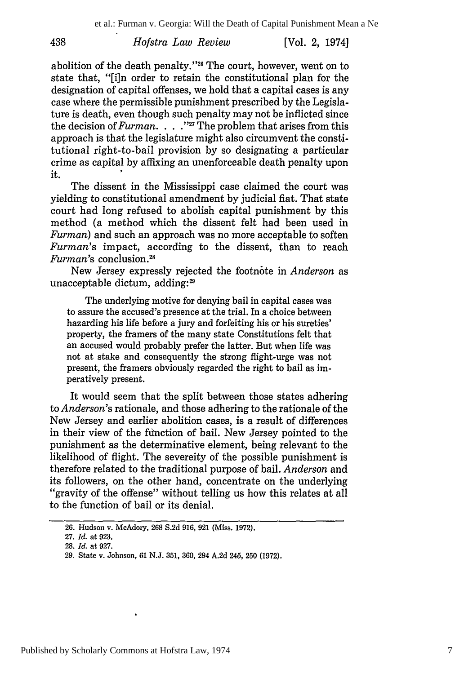*Hofstra Law Review* 438 [Vol. **2,** 1974]

abolition of the death penalty."<sup>26</sup> The court, however, went on to state that, "[i]n order to retain the constitutional plan for the designation of capital offenses, we hold that a capital cases is any case where the permissible punishment prescribed by the Legislature is death, even though such penalty may not be inflicted since the decision of *Furman* **.... 127** The problem that arises from this approach is that the legislature might also circumvent the constitutional right-to-bail provision by so designating a particular crime as capital by affixing an unenforceable death penalty upon it.

The dissent in the Mississippi case claimed the court was yielding to constitutional amendment by judicial fiat. That state court had long refused to abolish capital punishment by this method (a method which the dissent felt had been used in *Furman)* and such an approach was no more acceptable to soften *Furman's* impact, according to the dissent, than to reach *Furman's* conclusion. <sup>28</sup>

New Jersey expressly rejected the footnote in *Anderson* as unacceptable dictum, adding:<sup>29</sup>

The underlying motive for denying bail in capital cases was to assure the accused's presence at the trial. In a choice between hazarding his life before a jury and forfeiting his or his sureties' property, the framers of the many state Constitutions felt that an accused would probably prefer the latter. But when life was not at stake and consequently the strong flight-urge was not present, the framers obviously regarded the right to bail as imperatively present.

It would seem that the split between those states adhering to *Anderson's* rationale, and those adhering to the rationale of the New Jersey and earlier abolition cases, is a result of differences in their view of the function of bail. New Jersey pointed to the punishment as the determinative element, being relevant to the likelihood of flight. The severeity of the possible punishment is therefore related to the traditional purpose of bail. *Anderson* and its followers, on the other hand, concentrate on the underlying "gravity of the offense" without telling us how this relates at all to the function of bail or its denial.

<sup>26.</sup> Hudson v. McAdory, **268 S.2d** 916, **921** (Miss. 1972).

<sup>27.</sup> *Id.* at 923.

<sup>28.</sup> *Id.* at 927.

<sup>29.</sup> State v. Johnson, 61 N.J. 351, 360, 294 A.2d 245, 250 (1972).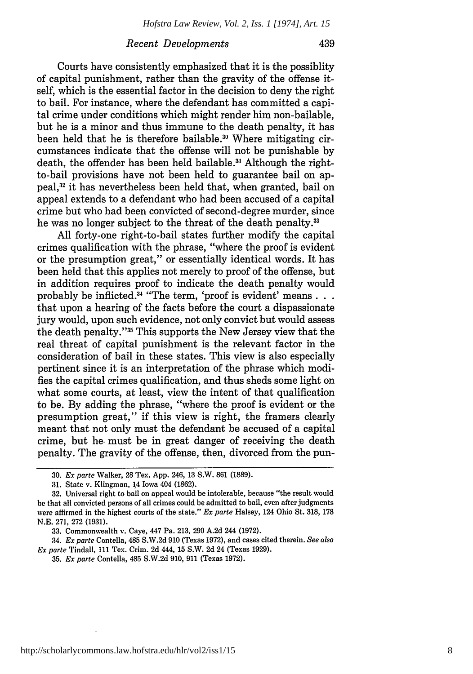#### *Recent Developments*

Courts have consistently emphasized that it is the possiblity of capital punishment, rather than the gravity of the offense itself, which is the essential factor in the decision to deny the right to bail. For instance, where the defendant has committed a capital crime under conditions which might render him non-bailable, but he is a minor and thus immune to the death penalty, it has been held that he is therefore bailable.<sup>30</sup> Where mitigating circumstances indicate that the offense will not be punishable by death, the offender has been held bailable.<sup>31</sup> Although the rightto-bail provisions have not been held to guarantee bail on appeal,<sup>32</sup> it has nevertheless been held that, when granted, bail on appeal extends to a defendant who had been accused of a capital crime but who had been convicted of second-degree murder, since he was no longer subject to the threat of the death penalty.<sup>33</sup>

All forty-one right-to-bail states further modify the capital crimes qualification with the phrase, "where the proof is evident or the presumption great," or essentially identical words. It has been held that this applies not merely to proof of the offense, but in addition requires proof to indicate the death penalty would probably be inflicted.<sup>34</sup> "The term, 'proof is evident' means... that upon a hearing of the facts before the court a dispassionate jury would, upon such evidence, not only convict but would assess the death penalty."<sup>35</sup> This supports the New Jersey view that the real threat of capital punishment is the relevant factor in the consideration of bail in these states. This view is also especially pertinent since it is an interpretation of the phrase which modifies the capital crimes qualification, and thus sheds some light on what some courts, at least, view the intent of that qualification to be. By adding the phrase, "where the proof is evident or the presumption great," if this view is right, the framers clearly meant that not only must the defendant be accused of a capital crime, but he. must be in great danger of receiving the death penalty. The gravity of the offense, then, divorced from the pun-

34. *Ex parte* Contella, 485 S.W.2d 910 (Texas 1972), and cases cited therein. *See also Ex parte* Tindall, 111 Tex. Crim. 2d 444, 15 S.W. 2d 24 (Texas 1929).

<sup>30.</sup> *Ex parte* Walker, 28 Tex. App. 246, 13 S.W. 861 (1889).

<sup>31.</sup> State v. Klingman, 14 Iowa 404 (1862).

<sup>32.</sup> Universal right to bail on appeal would be intolerable, because "the result would be that all convicted persons of all crimes could be admitted to bail, even after judgments were affirmed in the highest courts of the state." *Ex parte* Halsey, 124 Ohio St. 318, 178 N.E. 271, 272 (1931).

<sup>33.</sup> Commonwealth v. Caye, 447 Pa. 213, 290 A.2d 244 (1972).

<sup>35.</sup> *Ex parte* Contella, 485 S.W.2d 910, 911 (Texas 1972).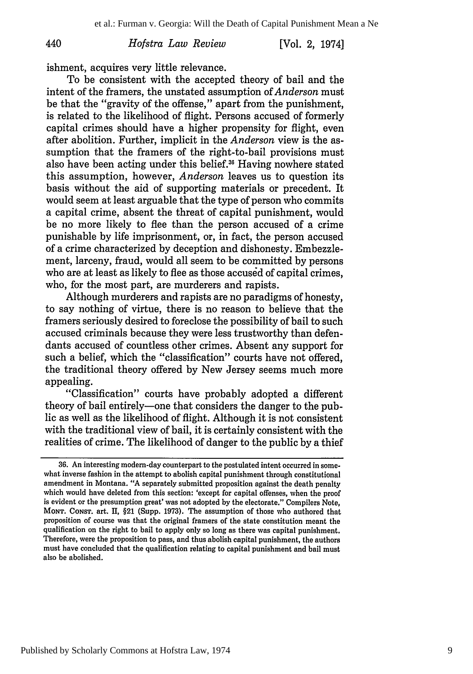[Vol. 2, 1974]

ishment, acquires very little relevance.

To be consistent with the accepted theory of bail and the intent of the framers, the unstated assumption of *Anderson* must be that the "gravity of the offense," apart from the punishment, is related to the likelihood of flight. Persons accused of formerly capital crimes should have a higher propensity for flight, even after abolition. Further, implicit in the *Anderson* view is the assumption that the framers of the right-to-bail provisions must also have been acting under this belief." Having nowhere stated this assumption, however, *Anderson* leaves us to question its basis without the aid of supporting materials or precedent. It would seem at least arguable that the type of person who commits a capital crime, absent the threat of capital punishment, would be no more likely to flee than the person accused of a crime punishable by life imprisonment, or, in fact, the person accused of a crime characterized by deception and dishonesty. Embezzlement, larceny, fraud, would all seem to be committed by persons who are at least as likely to flee as those accused of capital crimes, who, for the most part, are murderers and rapists.

Although murderers and rapists are no paradigms of honesty, to say nothing of virtue, there is no reason to believe that the framers seriously desired to foreclose the possibility of bail to such accused criminals because they were less trustworthy than defendants accused of countless other crimes. Absent any support for such a belief, which the "classification" courts have not offered, the traditional theory offered by New Jersey seems much more appealing.

"Classification" courts have probably adopted a different theory of bail entirely-one that considers the danger to the public as well as the likelihood of flight. Although it is not consistent with the traditional view of bail, it is certainly consistent with the realities of crime. The likelihood of danger to the public by a thief

<sup>36.</sup> An interesting modem-day counterpart to the postulated intent occurred in somewhat inverse fashion in the attempt to abolish capital punishment through constitutional amendment in Montana. **"A** separately submitted proposition against the death penalty which would have deleted from this section: 'except for capital offenses, when the proof is evident or the presumption great' was not adopted **by** the electorate." Compilers Note, **MONT.** CONsT. art. **HI,** §21 (Supp. **1973).** The assumption of those who authored that proposition of course was that the original framers of the state constitution meant the qualification on the right to bail to apply only so long as there was capital punishment. Therefore, were the proposition to pass, and thus abolish capital punishment, the authors must have concluded that the qualification relating to capital punishment and bail must also be abolished.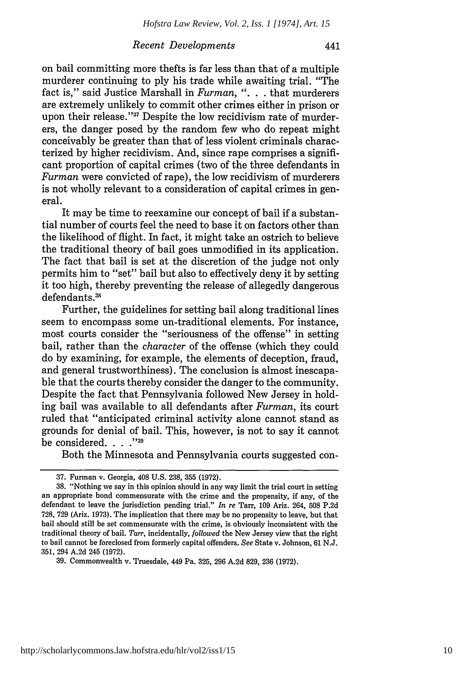441

#### *Recent Developments*

on bail committing more thefts is far less than that of a multiple murderer continuing to ply his trade while awaiting trial. "The fact is," said Justice Marshall in *Furman,* ". **.** . that murderers are extremely unlikely to commit other crimes either in prison or upon their release."<sup>37</sup> Despite the low recidivism rate of murderers, the danger posed by the random few who do repeat might conceivably be greater than that of less violent criminals characterized by higher recidivism. And, since rape comprises a significant proportion of capital crimes (two of the three defendants in *Furman* were convicted of rape), the low recidivism of murderers is not wholly relevant to a consideration of capital crimes in general.

It may be time to reexamine our concept of bail if a substantial number of courts feel the need to base it on factors other than the likelihood of flight. In fact, it might take an ostrich to believe the traditional theory of bail goes unmodified in its application. The fact that bail is set at the discretion of the judge not only permits him to "set" bail but also to effectively deny it by setting it too high, thereby preventing the release of allegedly dangerous defendants.<sup>38</sup>

Further, the guidelines for setting bail along traditional lines seem to encompass some un-traditional elements. For instance, most courts consider the "seriousness of the offense" in setting bail, rather than the *character* of the offense (which they could do by examining, for example, the elements of deception, fraud, and general trustworthiness). The conclusion is almost inescapable that the courts thereby consider the danger to the community. Despite the fact that Pennsylvania followed New Jersey in holding bail was available to all defendants after *Furman,* its court ruled that "anticipated criminal activity alone cannot stand as grounds for denial of bail. This, however, is not to say it cannot be considered. . . **.,39**

Both the Minnesota and Pennsylvania courts suggested con-

<sup>37.</sup> Furman v. Georgia, 408 U.S. 238, 355 (1972).

<sup>38. &</sup>quot;Nothing we say in this opinion should in any way limit the trial court in setting an appropriate bond commensurate with the crime and the propensity, if any, of the defendant to leave the jurisdiction pending trial." *In re* Tarr, 109 Ariz. 264, 508 P.2d 728, 729 (Ariz. 1973). The implication that there may be no propensity to leave, but that bail should still be set commensurate with the crime, is obviously inconsistent with the traditional theory of bail. *Tarr,* incidentally, *followed* the New Jersey view that the right to bail cannot be foreclosed from formerly capital offenders. *See* State v. Johnson, 61 N.J. 351, 294 A.2d 245 (1972).

<sup>39.</sup> Commonwealth v. Truesdale, 449 Pa. 325, 296 A.2d 829, 236 (1972).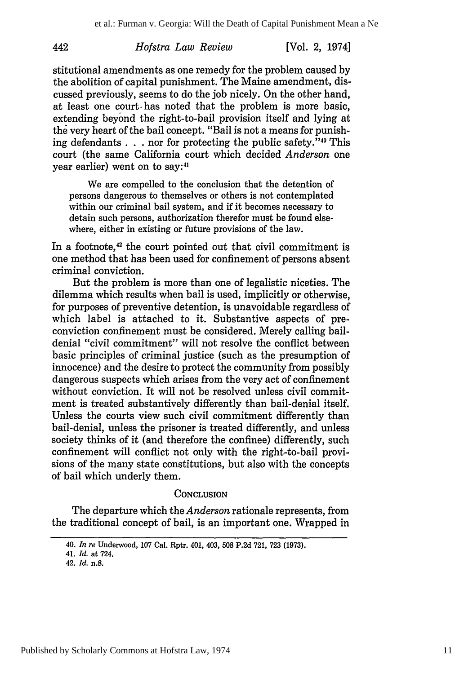[Vol. **2,** 1974]

stitutional amendments as one remedy for the problem caused by the abolition of capital punishment. The Maine amendment, discussed previously, seems to do the job nicely. On the other hand, at least one court- has noted that the problem is more basic, extending beyond the right-to-bail provision itself and lying at the very heart of the bail concept. "Bail is not a means for punishing defendants  $\ldots$  nor for protecting the public safety."<sup>40</sup> This court (the same California court which decided *Anderson* one year earlier) went on to say:<sup>41</sup>

We are compelled to the conclusion that the detention of persons dangerous to themselves or others is not contemplated within our criminal bail system, and if it becomes necessary to detain such persons, authorization therefor must be found elsewhere, either in existing or future provisions of the law.

In a footnote,<sup>42</sup> the court pointed out that civil commitment is one method that has been used for confinement of persons absent criminal conviction.

But the problem is more than one of legalistic niceties. The dilemma which results when bail is used, implicitly or otherwise, for purposes of preventive detention, is unavoidable regardless of which label is attached to it. Substantive aspects of preconviction confinement must be considered. Merely calling baildenial "civil commitment" will not resolve the conflict between basic principles of criminal justice (such as the presumption of innocence) and the desire to protect the community from possibly dangerous suspects which arises from the very act of confinement without conviction. It will not be resolved unless civil commitment is treated substantively differently than bail-denial itself. Unless the courts view such civil commitment differently than bail-denial, unless the prisoner is treated differently, and unless society thinks of it (and therefore the confinee) differently, such confinement will conflict not only with the right-to-bail provisions of the many state constitutions, but also with the concepts of bail which underly them.

#### **CONCLUSION**

The departure which the *Anderson* rationale represents, from the traditional concept of bail, is an important one. Wrapped in

<sup>40.</sup> *In re* Underwood, 107 Cal. Rptr. 401, 403, **508** P.2d 721, 723 (1973).

<sup>41.</sup> *Id.* at 724.

<sup>42.</sup> *Id.* n.8.